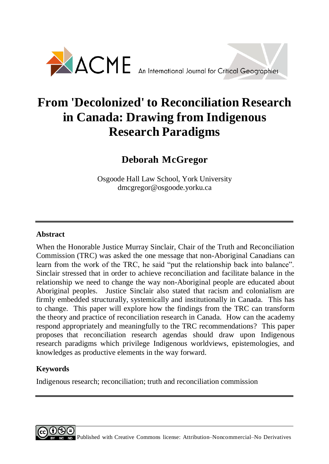

# **From 'Decolonized' to Reconciliation Research in Canada: Drawing from Indigenous Research Paradigms**

# **Deborah McGregor**

Osgoode Hall Law School, York University dmcgregor@osgoode.yorku.ca

### **Abstract**

When the Honorable Justice Murray Sinclair, Chair of the Truth and Reconciliation Commission (TRC) was asked the one message that non-Aboriginal Canadians can learn from the work of the TRC, he said "put the relationship back into balance". Sinclair stressed that in order to achieve reconciliation and facilitate balance in the relationship we need to change the way non-Aboriginal people are educated about Aboriginal peoples. Justice Sinclair also stated that racism and colonialism are firmly embedded structurally, systemically and institutionally in Canada. This has to change. This paper will explore how the findings from the TRC can transform the theory and practice of reconciliation research in Canada. How can the academy respond appropriately and meaningfully to the TRC recommendations? This paper proposes that reconciliation research agendas should draw upon Indigenous research paradigms which privilege Indigenous worldviews, epistemologies, and knowledges as productive elements in the way forward.

## **Keywords**

Indigenous research; reconciliation; truth and reconciliation commission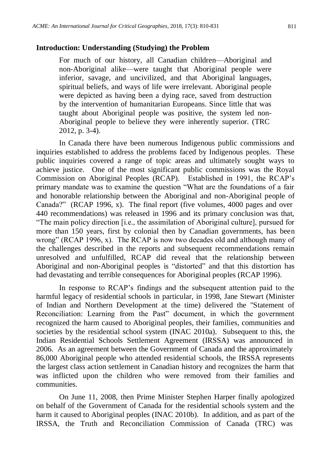#### **Introduction: Understanding (Studying) the Problem**

For much of our history, all Canadian children—Aboriginal and non-Aboriginal alike—were taught that Aboriginal people were inferior, savage, and uncivilized, and that Aboriginal languages, spiritual beliefs, and ways of life were irrelevant. Aboriginal people were depicted as having been a dying race, saved from destruction by the intervention of humanitarian Europeans. Since little that was taught about Aboriginal people was positive, the system led non-Aboriginal people to believe they were inherently superior. (TRC 2012, p. 3-4).

In Canada there have been numerous Indigenous public commissions and inquiries established to address the problems faced by Indigenous peoples. These public inquiries covered a range of topic areas and ultimately sought ways to achieve justice. One of the most significant public commissions was the Royal Commission on Aboriginal Peoples (RCAP). Established in 1991, the RCAP's primary mandate was to examine the question "What are the foundations of a fair and honorable relationship between the Aboriginal and non-Aboriginal people of Canada?" (RCAP 1996, x). The final report (five volumes, 4000 pages and over 440 recommendations) was released in 1996 and its primary conclusion was that, "The main policy direction [i.e., the assimilation of Aboriginal culture], pursued for more than 150 years, first by colonial then by Canadian governments, has been wrong" (RCAP 1996, x). The RCAP is now two decades old and although many of the challenges described in the reports and subsequent recommendations remain unresolved and unfulfilled, RCAP did reveal that the relationship between Aboriginal and non-Aboriginal peoples is "distorted" and that this distortion has had devastating and terrible consequences for Aboriginal peoples (RCAP 1996).

In response to RCAP's findings and the subsequent attention paid to the harmful legacy of residential schools in particular, in 1998, Jane Stewart (Minister of Indian and Northern Development at the time) delivered the "Statement of Reconciliation: Learning from the Past" document, in which the government recognized the harm caused to Aboriginal peoples, their families, communities and societies by the residential school system (INAC 2010a). Subsequent to this, the Indian Residential Schools Settlement Agreement (IRSSA) was announced in 2006. As an agreement between the Government of Canada and the approximately 86,000 Aboriginal people who attended residential schools, the IRSSA represents the largest class action settlement in Canadian history and recognizes the harm that was inflicted upon the children who were removed from their families and communities.

On June 11, 2008, then Prime Minister Stephen Harper finally apologized on behalf of the Government of Canada for the residential schools system and the harm it caused to Aboriginal peoples (INAC 2010b). In addition, and as part of the IRSSA, the Truth and Reconciliation Commission of Canada (TRC) was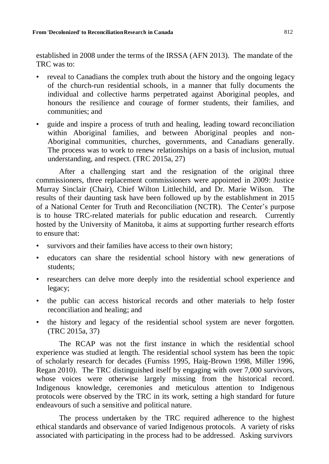established in 2008 under the terms of the IRSSA (AFN 2013). The mandate of the TRC was to:

- reveal to Canadians the complex truth about the history and the ongoing legacy of the church-run residential schools, in a manner that fully documents the individual and collective harms perpetrated against Aboriginal peoples, and honours the resilience and courage of former students, their families, and communities; and
- guide and inspire a process of truth and healing, leading toward reconciliation within Aboriginal families, and between Aboriginal peoples and non-Aboriginal communities, churches, governments, and Canadians generally. The process was to work to renew relationships on a basis of inclusion, mutual understanding, and respect. (TRC 2015a, 27)

After a challenging start and the resignation of the original three commissioners, three replacement commissioners were appointed in 2009: Justice Murray Sinclair (Chair), Chief Wilton Littlechild, and Dr. Marie Wilson. The results of their daunting task have been followed up by the establishment in 2015 of a National Center for Truth and Reconciliation (NCTR). The Center's purpose is to house TRC-related materials for public education and research. Currently hosted by the University of Manitoba, it aims at supporting further research efforts to ensure that:

- survivors and their families have access to their own history;
- educators can share the residential school history with new generations of students;
- researchers can delve more deeply into the residential school experience and legacy;
- the public can access historical records and other materials to help foster reconciliation and healing; and
- the history and legacy of the residential school system are never forgotten. (TRC 2015a, 37)

The RCAP was not the first instance in which the residential school experience was studied at length. The residential school system has been the topic of scholarly research for decades (Furniss 1995, Haig-Brown 1998, Miller 1996, Regan 2010). The TRC distinguished itself by engaging with over 7,000 survivors, whose voices were otherwise largely missing from the historical record. Indigenous knowledge, ceremonies and meticulous attention to Indigenous protocols were observed by the TRC in its work, setting a high standard for future endeavours of such a sensitive and political nature.

The process undertaken by the TRC required adherence to the highest ethical standards and observance of varied Indigenous protocols. A variety of risks associated with participating in the process had to be addressed. Asking survivors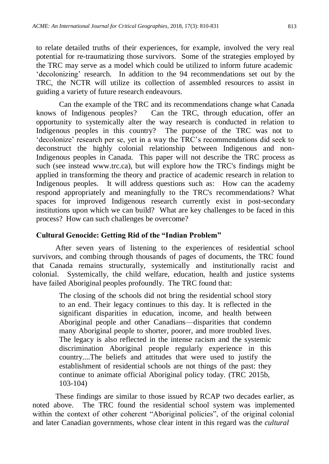to relate detailed truths of their experiences, for example, involved the very real potential for re-traumatizing those survivors. Some of the strategies employed by the TRC may serve as a model which could be utilized to inform future academic 'decolonizing' research. In addition to the 94 recommendations set out by the TRC, the NCTR will utilize its collection of assembled resources to assist in guiding a variety of future research endeavours.

Can the example of the TRC and its recommendations change what Canada knows of Indigenous peoples? Can the TRC, through education, offer an opportunity to systemically alter the way research is conducted in relation to Indigenous peoples in this country? The purpose of the TRC was not to 'decolonize' research per se, yet in a way the TRC's recommendations did seek to deconstruct the highly colonial relationship between Indigenous and non-Indigenous peoples in Canada. This paper will not describe the TRC process as such (see instead www.trc.ca), but will explore how the TRC's findings might be applied in transforming the theory and practice of academic research in relation to Indigenous peoples. It will address questions such as: How can the academy respond appropriately and meaningfully to the TRC's recommendations? What spaces for improved Indigenous research currently exist in post-secondary institutions upon which we can build? What are key challenges to be faced in this process? How can such challenges be overcome?

#### **Cultural Genocide: Getting Rid of the "Indian Problem"**

After seven years of listening to the experiences of residential school survivors, and combing through thousands of pages of documents, the TRC found that Canada remains structurally, systemically and institutionally racist and colonial. Systemically, the child welfare, education, health and justice systems have failed Aboriginal peoples profoundly. The TRC found that:

> The closing of the schools did not bring the residential school story to an end. Their legacy continues to this day. It is reflected in the significant disparities in education, income, and health between Aboriginal people and other Canadians—disparities that condemn many Aboriginal people to shorter, poorer, and more troubled lives. The legacy is also reflected in the intense racism and the systemic discrimination Aboriginal people regularly experience in this country....The beliefs and attitudes that were used to justify the establishment of residential schools are not things of the past: they continue to animate official Aboriginal policy today. (TRC 2015b, 103-104)

These findings are similar to those issued by RCAP two decades earlier, as noted above. The TRC found the residential school system was implemented within the context of other coherent "Aboriginal policies", of the original colonial and later Canadian governments, whose clear intent in this regard was the *cultural*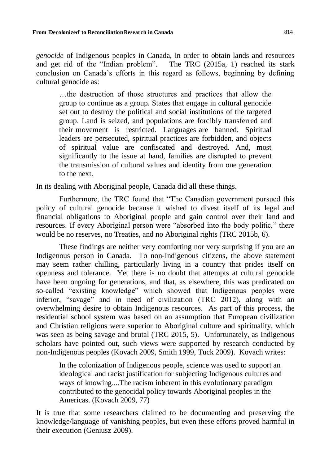*genocide* of Indigenous peoples in Canada, in order to obtain lands and resources and get rid of the "Indian problem". The TRC (2015a, 1) reached its stark conclusion on Canada's efforts in this regard as follows, beginning by defining cultural genocide as:

…the destruction of those structures and practices that allow the group to continue as a group. States that engage in cultural genocide set out to destroy the political and social institutions of the targeted group. Land is seized, and populations are forcibly transferred and their movement is restricted. Languages are banned. Spiritual leaders are persecuted, spiritual practices are forbidden, and objects of spiritual value are confiscated and destroyed. And, most significantly to the issue at hand, families are disrupted to prevent the transmission of cultural values and identity from one generation to the next.

In its dealing with Aboriginal people, Canada did all these things.

Furthermore, the TRC found that "The Canadian government pursued this policy of cultural genocide because it wished to divest itself of its legal and financial obligations to Aboriginal people and gain control over their land and resources. If every Aboriginal person were "absorbed into the body politic," there would be no reserves, no Treaties, and no Aboriginal rights (TRC 2015b, 6).

These findings are neither very comforting nor very surprising if you are an Indigenous person in Canada. To non-Indigenous citizens, the above statement may seem rather chilling, particularly living in a country that prides itself on openness and tolerance. Yet there is no doubt that attempts at cultural genocide have been ongoing for generations, and that, as elsewhere, this was predicated on so-called "existing knowledge" which showed that Indigenous peoples were inferior, "savage" and in need of civilization (TRC 2012), along with an overwhelming desire to obtain Indigenous resources. As part of this process, the residential school system was based on an assumption that European civilization and Christian religions were superior to Aboriginal culture and spirituality, which was seen as being savage and brutal (TRC 2015, 5). Unfortunately, as Indigenous scholars have pointed out, such views were supported by research conducted by non-Indigenous peoples (Kovach 2009, Smith 1999, Tuck 2009). Kovach writes:

In the colonization of Indigenous people, science was used to support an ideological and racist justification for subjecting Indigenous cultures and ways of knowing....The racism inherent in this evolutionary paradigm contributed to the genocidal policy towards Aboriginal peoples in the Americas. (Kovach 2009, 77)

It is true that some researchers claimed to be documenting and preserving the knowledge/language of vanishing peoples, but even these efforts proved harmful in their execution (Geniusz 2009).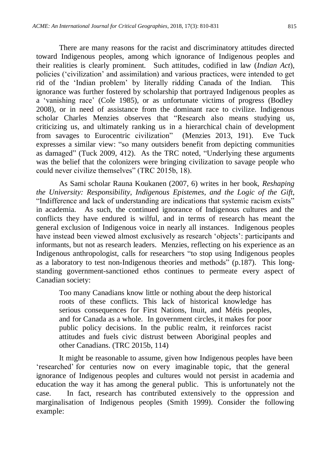There are many reasons for the racist and discriminatory attitudes directed toward Indigenous peoples, among which ignorance of Indigenous peoples and their realities is clearly prominent. Such attitudes, codified in law (*Indian Act*), policies ('civilization' and assimilation) and various practices, were intended to get rid of the 'Indian problem' by literally ridding Canada of the Indian. This ignorance was further fostered by scholarship that portrayed Indigenous peoples as a 'vanishing race' (Cole 1985), or as unfortunate victims of progress (Bodley 2008), or in need of assistance from the dominant race to civilize. Indigenous scholar Charles Menzies observes that "Research also means studying us, criticizing us, and ultimately ranking us in a hierarchical chain of development from savages to Eurocentric civilization" (Menzies 2013, 191). Eve Tuck expresses a similar view: "so many outsiders benefit from depicting communities as damaged" (Tuck 2009, 412). As the TRC noted, "Underlying these arguments was the belief that the colonizers were bringing civilization to savage people who could never civilize themselves" (TRC 2015b, 18).

As Sami scholar Rauna Koukanen (2007, 6) writes in her book, *Reshaping the University: Responsibility, Indigenous Epistemes, and the Logic of the Gift*, "Indifference and lack of understanding are indications that systemic racism exists" in academia. As such, the continued ignorance of Indigenous cultures and the conflicts they have endured is wilful, and in terms of research has meant the general exclusion of Indigenous voice in nearly all instances. Indigenous peoples have instead been viewed almost exclusively as research 'objects': participants and informants, but not as research leaders. Menzies, reflecting on his experience as an Indigenous anthropologist, calls for researchers "to stop using Indigenous peoples as a laboratory to test non-Indigenous theories and methods" (p.187). This longstanding government-sanctioned ethos continues to permeate every aspect of Canadian society:

Too many Canadians know little or nothing about the deep historical roots of these conflicts. This lack of historical knowledge has serious consequences for First Nations, Inuit, and Métis peoples, and for Canada as a whole. In government circles, it makes for poor public policy decisions. In the public realm, it reinforces racist attitudes and fuels civic distrust between Aboriginal peoples and other Canadians. (TRC 2015b, 114)

It might be reasonable to assume, given how Indigenous peoples have been 'researched' for centuries now on every imaginable topic, that the general ignorance of Indigenous peoples and cultures would not persist in academia and education the way it has among the general public. This is unfortunately not the case. In fact, research has contributed extensively to the oppression and marginalisation of Indigenous peoples (Smith 1999). Consider the following example: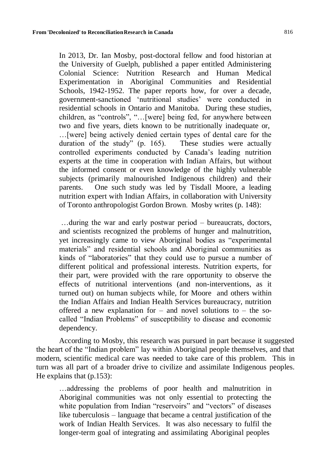In 2013, Dr. Ian Mosby, post-doctoral fellow and food historian at the University of Guelph, published a paper entitled Administering Colonial Science: Nutrition Research and Human Medical Experimentation in Aboriginal Communities and Residential Schools, 1942-1952. The paper reports how, for over a decade, government-sanctioned 'nutritional studies' were conducted in residential schools in Ontario and Manitoba. During these studies, children, as "controls", "…[were] being fed, for anywhere between two and five years, diets known to be nutritionally inadequate or, …[were] being actively denied certain types of dental care for the duration of the study" (p. 165). These studies were actually controlled experiments conducted by Canada's leading nutrition experts at the time in cooperation with Indian Affairs, but without the informed consent or even knowledge of the highly vulnerable subjects (primarily malnourished Indigenous children) and their parents. One such study was led by Tisdall Moore, a leading nutrition expert with Indian Affairs, in collaboration with University of Toronto anthropologist Gordon Brown. Mosby writes (p. 148):

…during the war and early postwar period – bureaucrats, doctors, and scientists recognized the problems of hunger and malnutrition, yet increasingly came to view Aboriginal bodies as "experimental materials" and residential schools and Aboriginal communities as kinds of "laboratories" that they could use to pursue a number of different political and professional interests. Nutrition experts, for their part, were provided with the rare opportunity to observe the effects of nutritional interventions (and non-interventions, as it turned out) on human subjects while, for Moore and others within the Indian Affairs and Indian Health Services bureaucracy, nutrition offered a new explanation for – and novel solutions to – the socalled "Indian Problems" of susceptibility to disease and economic dependency.

According to Mosby, this research was pursued in part because it suggested the heart of the "Indian problem" lay within Aboriginal people themselves, and that modern, scientific medical care was needed to take care of this problem. This in turn was all part of a broader drive to civilize and assimilate Indigenous peoples. He explains that (p.153):

…addressing the problems of poor health and malnutrition in Aboriginal communities was not only essential to protecting the white population from Indian "reservoirs" and "vectors" of diseases like tuberculosis – language that became a central justification of the work of Indian Health Services. It was also necessary to fulfil the longer-term goal of integrating and assimilating Aboriginal peoples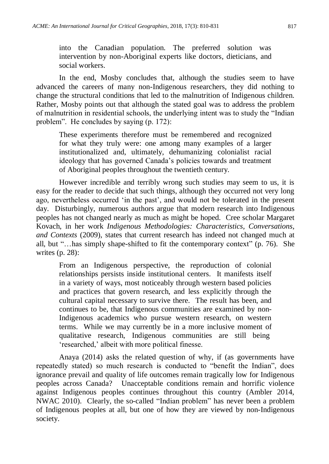into the Canadian population. The preferred solution was intervention by non-Aboriginal experts like doctors, dieticians, and social workers.

In the end, Mosby concludes that, although the studies seem to have advanced the careers of many non-Indigenous researchers, they did nothing to change the structural conditions that led to the malnutrition of Indigenous children. Rather, Mosby points out that although the stated goal was to address the problem of malnutrition in residential schools, the underlying intent was to study the "Indian problem". He concludes by saying (p. 172):

These experiments therefore must be remembered and recognized for what they truly were: one among many examples of a larger institutionalized and, ultimately, dehumanizing colonialist racial ideology that has governed Canada's policies towards and treatment of Aboriginal peoples throughout the twentieth century.

However incredible and terribly wrong such studies may seem to us, it is easy for the reader to decide that such things, although they occurred not very long ago, nevertheless occurred 'in the past', and would not be tolerated in the present day. Disturbingly, numerous authors argue that modern research into Indigenous peoples has not changed nearly as much as might be hoped. Cree scholar Margaret Kovach, in her work *Indigenous Methodologies: Characteristics, Conversations, and Contexts* (2009), states that current research has indeed not changed much at all, but "…has simply shape-shifted to fit the contemporary context" (p. 76). She writes (p. 28):

From an Indigenous perspective, the reproduction of colonial relationships persists inside institutional centers. It manifests itself in a variety of ways, most noticeably through western based policies and practices that govern research, and less explicitly through the cultural capital necessary to survive there. The result has been, and continues to be, that Indigenous communities are examined by non-Indigenous academics who pursue western research, on western terms. While we may currently be in a more inclusive moment of qualitative research, Indigenous communities are still being 'researched,' albeit with more political finesse.

Anaya (2014) asks the related question of why, if (as governments have repeatedly stated) so much research is conducted to "benefit the Indian", does ignorance prevail and quality of life outcomes remain tragically low for Indigenous peoples across Canada? Unacceptable conditions remain and horrific violence against Indigenous peoples continues throughout this country (Ambler 2014, NWAC 2010). Clearly, the so-called "Indian problem" has never been a problem of Indigenous peoples at all, but one of how they are viewed by non-Indigenous society.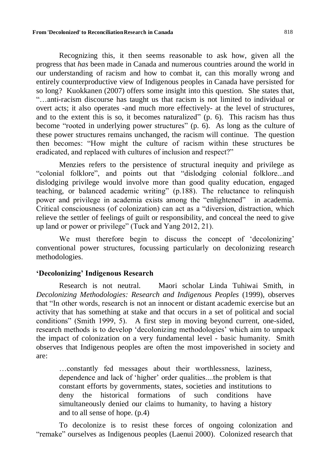Recognizing this, it then seems reasonable to ask how, given all the progress that *has* been made in Canada and numerous countries around the world in our understanding of racism and how to combat it, can this morally wrong and entirely counterproductive view of Indigenous peoples in Canada have persisted for so long? Kuokkanen (2007) offers some insight into this question. She states that, "…anti-racism discourse has taught us that racism is not limited to individual or overt acts; it also operates -and much more effectively- at the level of structures, and to the extent this is so, it becomes naturalized" (p. 6). This racism has thus become "rooted in underlying power structures" (p. 6). As long as the culture of these power structures remains unchanged, the racism will continue. The question then becomes: "How might the culture of racism within these structures be eradicated, and replaced with cultures of inclusion and respect?"

Menzies refers to the persistence of structural inequity and privilege as "colonial folklore", and points out that "dislodging colonial folklore...and dislodging privilege would involve more than good quality education, engaged teaching, or balanced academic writing" (p.188). The reluctance to relinquish power and privilege in academia exists among the "enlightened" in academia. Critical consciousness (of colonization) can act as a "diversion, distraction, which relieve the settler of feelings of guilt or responsibility, and conceal the need to give up land or power or privilege" (Tuck and Yang 2012, 21).

We must therefore begin to discuss the concept of 'decolonizing' conventional power structures, focussing particularly on decolonizing research methodologies.

#### **'Decolonizing' Indigenous Research**

Research is not neutral. Maori scholar Linda Tuhiwai Smith, in *Decolonizing Methodologies: Research and Indigenous Peoples* (1999), observes that "In other words, research is not an innocent or distant academic exercise but an activity that has something at stake and that occurs in a set of political and social conditions" (Smith 1999, 5). A first step in moving beyond current, one-sided, research methods is to develop 'decolonizing methodologies' which aim to unpack the impact of colonization on a very fundamental level - basic humanity. Smith observes that Indigenous peoples are often the most impoverished in society and are:

…constantly fed messages about their worthlessness, laziness, dependence and lack of 'higher' order qualities....the problem is that constant efforts by governments, states, societies and institutions to deny the historical formations of such conditions have simultaneously denied our claims to humanity, to having a history and to all sense of hope. (p.4)

To decolonize is to resist these forces of ongoing colonization and "remake" ourselves as Indigenous peoples (Laenui 2000). Colonized research that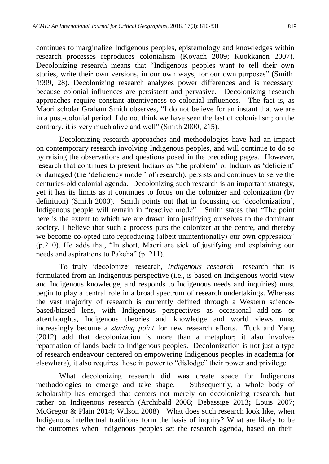continues to marginalize Indigenous peoples, epistemology and knowledges within research processes reproduces colonialism (Kovach 2009; Kuokkanen 2007). Decolonizing research means that "Indigenous peoples want to tell their own stories, write their own versions, in our own ways, for our own purposes" (Smith 1999, 28). Decolonizing research analyzes power differences and is necessary because colonial influences are persistent and pervasive. Decolonizing research approaches require constant attentiveness to colonial influences. The fact is, as Maori scholar Graham Smith observes, "I do not believe for an instant that we are in a post-colonial period. I do not think we have seen the last of colonialism; on the contrary, it is very much alive and well" (Smith 2000, 215).

Decolonizing research approaches and methodologies have had an impact on contemporary research involving Indigenous peoples, and will continue to do so by raising the observations and questions posed in the preceding pages. However, research that continues to present Indians as 'the problem' or Indians as 'deficient' or damaged (the 'deficiency model' of research), persists and continues to serve the centuries-old colonial agenda. Decolonizing such research is an important strategy, yet it has its limits as it continues to focus on the colonizer and colonization (by definition) (Smith 2000). Smith points out that in focussing on 'decolonization', Indigenous people will remain in "reactive mode". Smith states that "The point here is the extent to which we are drawn into justifying ourselves to the dominant society. I believe that such a process puts the colonizer at the centre, and thereby we become co-opted into reproducing (albeit unintentionally) our own oppression" (p.210). He adds that, "In short, Maori are sick of justifying and explaining our needs and aspirations to Pakeha" (p. 211).

To truly 'decolonize' research, *Indigenous research* –research that is formulated from an Indigenous perspective (i.e., is based on Indigenous world view and Indigenous knowledge, and responds to Indigenous needs and inquiries) must begin to play a central role in a broad spectrum of research undertakings. Whereas the vast majority of research is currently defined through a Western sciencebased/biased lens, with Indigenous perspectives as occasional add-ons or afterthoughts, Indigenous theories and knowledge and world views must increasingly become a *starting point* for new research efforts. Tuck and Yang (2012) add that decolonization is more than a metaphor; it also involves repatriation of lands back to Indigenous peoples. Decolonization is not just a type of research endeavour centered on empowering Indigenous peoples in academia (or elsewhere), it also requires those in power to "dislodge" their power and privilege.

What decolonizing research did was create space for Indigenous methodologies to emerge and take shape. Subsequently, a whole body of scholarship has emerged that centers not merely on decolonizing research, but rather on Indigenous research (Archibald 2008; Debassige 2013**;** Louis 2007; McGregor & Plain 2014; Wilson 2008). What does such research look like, when Indigenous intellectual traditions form the basis of inquiry? What are likely to be the outcomes when Indigenous peoples set the research agenda, based on their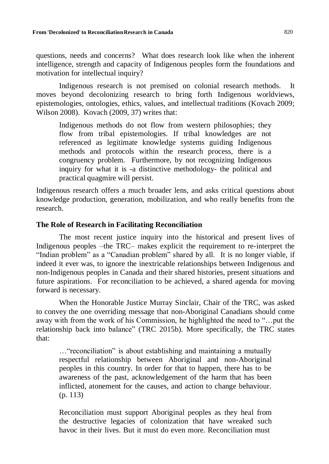questions, needs and concerns? What does research look like when the inherent intelligence, strength and capacity of Indigenous peoples form the foundations and motivation for intellectual inquiry?

Indigenous research is not premised on colonial research methods. It moves beyond decolonizing research to bring forth Indigenous worldviews, epistemologies, ontologies, ethics, values, and intellectual traditions (Kovach 2009; Wilson 2008). Kovach (2009, 37) writes that:

Indigenous methods do not flow from western philosophies; they flow from tribal epistemologies. If tribal knowledges are not referenced as legitimate knowledge systems guiding Indigenous methods and protocols within the research process, there is a congruency problem. Furthermore, by not recognizing Indigenous inquiry for what it is -a distinctive methodology- the political and practical quagmire will persist.

Indigenous research offers a much broader lens, and asks critical questions about knowledge production, generation, mobilization, and who really benefits from the research.

#### **The Role of Research in Facilitating Reconciliation**

The most recent justice inquiry into the historical and present lives of Indigenous peoples –the TRC– makes explicit the requirement to re-interpret the "Indian problem" as a "Canadian problem" shared by all. It is no longer viable, if indeed it ever was, to ignore the inextricable relationships between Indigenous and non-Indigenous peoples in Canada and their shared histories, present situations and future aspirations. For reconciliation to be achieved, a shared agenda for moving forward is necessary.

When the Honorable Justice Murray Sinclair, Chair of the TRC, was asked to convey the one overriding message that non-Aboriginal Canadians should come away with from the work of his Commission, he highlighted the need to "…put the relationship back into balance" (TRC 2015b). More specifically, the TRC states that:

…"reconciliation" is about establishing and maintaining a mutually respectful relationship between Aboriginal and non-Aboriginal peoples in this country. In order for that to happen, there has to be awareness of the past, acknowledgement of the harm that has been inflicted, atonement for the causes, and action to change behaviour. (p. 113)

Reconciliation must support Aboriginal peoples as they heal from the destructive legacies of colonization that have wreaked such havoc in their lives. But it must do even more. Reconciliation must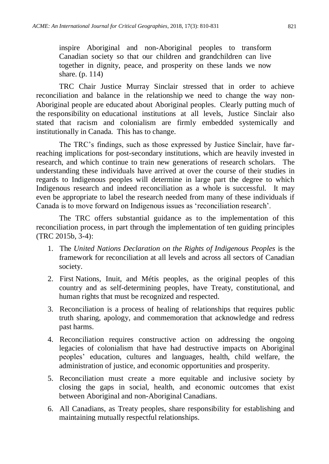inspire Aboriginal and non-Aboriginal peoples to transform Canadian society so that our children and grandchildren can live together in dignity, peace, and prosperity on these lands we now share. (p. 114)

TRC Chair Justice Murray Sinclair stressed that in order to achieve reconciliation and balance in the relationship we need to change the way non-Aboriginal people are educated about Aboriginal peoples. Clearly putting much of the responsibility on educational institutions at all levels, Justice Sinclair also stated that racism and colonialism are firmly embedded systemically and institutionally in Canada. This has to change.

The TRC's findings, such as those expressed by Justice Sinclair, have farreaching implications for post-secondary institutions, which are heavily invested in research, and which continue to train new generations of research scholars. The understanding these individuals have arrived at over the course of their studies in regards to Indigenous peoples will determine in large part the degree to which Indigenous research and indeed reconciliation as a whole is successful. It may even be appropriate to label the research needed from many of these individuals if Canada is to move forward on Indigenous issues as 'reconciliation research'.

The TRC offers substantial guidance as to the implementation of this reconciliation process, in part through the implementation of ten guiding principles (TRC 2015b, 3-4):

- 1. The *United Nations Declaration on the Rights of Indigenous Peoples* is the framework for reconciliation at all levels and across all sectors of Canadian society.
- 2. First Nations, Inuit, and Métis peoples, as the original peoples of this country and as self-determining peoples, have Treaty, constitutional, and human rights that must be recognized and respected.
- 3. Reconciliation is a process of healing of relationships that requires public truth sharing, apology, and commemoration that acknowledge and redress past harms.
- 4. Reconciliation requires constructive action on addressing the ongoing legacies of colonialism that have had destructive impacts on Aboriginal peoples' education, cultures and languages, health, child welfare, the administration of justice, and economic opportunities and prosperity.
- 5. Reconciliation must create a more equitable and inclusive society by closing the gaps in social, health, and economic outcomes that exist between Aboriginal and non-Aboriginal Canadians.
- 6. All Canadians, as Treaty peoples, share responsibility for establishing and maintaining mutually respectful relationships.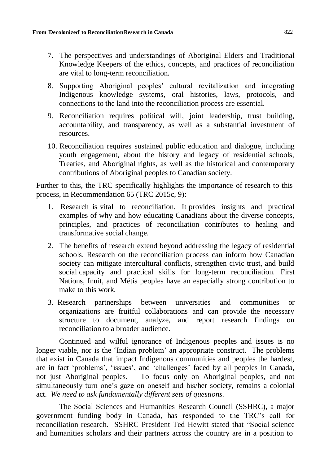- 7. The perspectives and understandings of Aboriginal Elders and Traditional Knowledge Keepers of the ethics, concepts, and practices of reconciliation are vital to long-term reconciliation.
- 8. Supporting Aboriginal peoples' cultural revitalization and integrating Indigenous knowledge systems, oral histories, laws, protocols, and connections to the land into the reconciliation process are essential.
- 9. Reconciliation requires political will, joint leadership, trust building, accountability, and transparency, as well as a substantial investment of resources.
- 10. Reconciliation requires sustained public education and dialogue, including youth engagement, about the history and legacy of residential schools, Treaties, and Aboriginal rights, as well as the historical and contemporary contributions of Aboriginal peoples to Canadian society.

Further to this, the TRC specifically highlights the importance of research to this process, in Recommendation 65 (TRC 2015c, 9):

- 1. Research is vital to reconciliation. It provides insights and practical examples of why and how educating Canadians about the diverse concepts, principles, and practices of reconciliation contributes to healing and transformative social change.
- 2. The benefits of research extend beyond addressing the legacy of residential schools. Research on the reconciliation process can inform how Canadian society can mitigate intercultural conflicts, strengthen civic trust, and build social capacity and practical skills for long-term reconciliation. First Nations, Inuit, and Métis peoples have an especially strong contribution to make to this work.
- 3. Research partnerships between universities and communities or organizations are fruitful collaborations and can provide the necessary structure to document, analyze, and report research findings on reconciliation to a broader audience.

Continued and wilful ignorance of Indigenous peoples and issues is no longer viable, nor is the 'Indian problem' an appropriate construct. The problems that exist in Canada that impact Indigenous communities and peoples the hardest, are in fact 'problems', 'issues', and 'challenges' faced by all peoples in Canada, not just Aboriginal peoples. To focus only on Aboriginal peoples, and not simultaneously turn one's gaze on oneself and his/her society, remains a colonial act. *We need to ask fundamentally different sets of questions.*

The Social Sciences and Humanities Research Council (SSHRC), a major government funding body in Canada, has responded to the TRC's call for reconciliation research. SSHRC President Ted Hewitt stated that "Social science and humanities scholars and their partners across the country are in a position to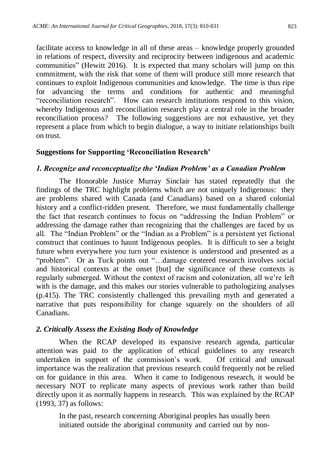facilitate access to knowledge in all of these areas – knowledge properly grounded in relations of respect, diversity and reciprocity between indigenous and academic communities" (Hewitt 2016). It is expected that many scholars will jump on this commitment, with the risk that some of them will produce still more research that continues to exploit Indigenous communities and knowledge. The time is thus ripe for advancing the terms and conditions for authentic and meaningful "reconciliation research". How can research institutions respond to this vision, whereby Indigenous and reconciliation research play a central role in the broader reconciliation process? The following suggestions are not exhaustive, yet they represent a place from which to begin dialogue, a way to initiate relationships built on trust.

#### **Suggestions for Supporting 'Reconciliation Research'**

#### *1. Recognize and reconceptualize the 'Indian Problem' as a Canadian Problem*

The Honorable Justice Murray Sinclair has stated repeatedly that the findings of the TRC highlight problems which are not uniquely Indigenous: they are problems shared with Canada (and Canadians) based on a shared colonial history and a conflict-ridden present. Therefore, we must fundamentally challenge the fact that research continues to focus on "addressing the Indian Problem" or addressing the damage rather than recognizing that the challenges are faced by us all. The "Indian Problem" or the "Indian as a Problem" is a persistent yet fictional construct that continues to haunt Indigenous peoples. It is difficult to see a bright future when everywhere you turn your existence is understood and presented as a "problem". Or as Tuck points out "…damage centered research involves social and historical contexts at the onset [but] the significance of these contexts is regularly submerged. Without the context of racism and colonization, all we're left with is the damage, and this makes our stories vulnerable to pathologizing analyses (p.415). The TRC consistently challenged this prevailing myth and generated a narrative that puts responsibility for change squarely on the shoulders of all Canadians.

#### *2. Critically Assess the Existing Body of Knowledge*

When the RCAP developed its expansive research agenda, particular attention was paid to the application of ethical guidelines to any research undertaken in support of the commission's work. Of critical and unusual importance was the realization that previous research could frequently not be relied on for guidance in this area. When it came to Indigenous research, it would be necessary NOT to replicate many aspects of previous work rather than build directly upon it as normally happens in research. This was explained by the RCAP (1993, 37) as follows:

In the past, research concerning Aboriginal peoples has usually been initiated outside the aboriginal community and carried out by non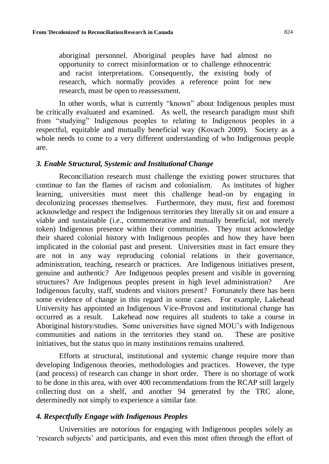aboriginal personnel. Aboriginal peoples have had almost no opportunity to correct misinformation or to challenge ethnocentric and racist interpretations. Consequently, the existing body of research, which normally provides a reference point for new research, must be open to reassessment.

In other words, what is currently "known" about Indigenous peoples must be critically evaluated and examined. As well, the research paradigm must shift from "studying" Indigenous peoples to relating to Indigenous peoples in a respectful, equitable and mutually beneficial way (Kovach 2009). Society as a whole needs to come to a very different understanding of who Indigenous people are.

#### *3. Enable Structural, Systemic and Institutional Change*

Reconciliation research must challenge the existing power structures that continue to fan the flames of racism and colonialism. As institutes of higher learning, universities must meet this challenge head-on by engaging in decolonizing processes themselves. Furthermore, they must, first and foremost acknowledge and respect the Indigenous territories they literally sit on and ensure a viable and sustainable (i.e., commemorative and mutually beneficial, not merely token) Indigenous presence within their communities. They must acknowledge their shared colonial history with Indigenous peoples and how they have been implicated in the colonial past and present. Universities must in fact ensure they are not in any way reproducing colonial relations in their governance, administration, teaching, research or practices. Are Indigenous initiatives present, genuine and authentic? Are Indigenous peoples present and visible in governing structures? Are Indigenous peoples present in high level administration? Are Indigenous faculty, staff, students and visitors present? Fortunately there has been some evidence of change in this regard in some cases. For example, Lakehead University has appointed an Indigenous Vice-Provost and institutional change has occurred as a result. Lakehead now requires all students to take a course in Aboriginal history/studies. Some universities have signed MOU's with Indigenous communities and nations in the territories they stand on. These are positive initiatives, but the status quo in many institutions remains unaltered.

Efforts at structural, institutional and systemic change require more than developing Indigenous theories, methodologies and practices. However, the type (and process) of research can change in short order. There is no shortage of work to be done in this area, with over 400 recommendations from the RCAP still largely collecting dust on a shelf, and another 94 generated by the TRC alone, determinedly not simply to experience a similar fate.

#### *4. Respectfully Engage with Indigenous Peoples*

Universities are notorious for engaging with Indigenous peoples solely as 'research subjects' and participants, and even this most often through the effort of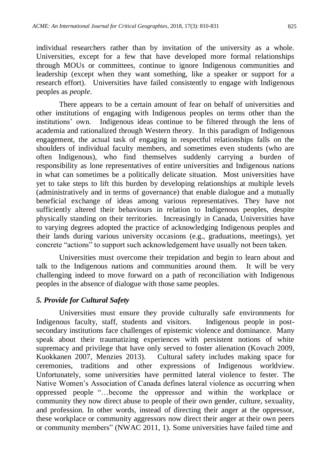individual researchers rather than by invitation of the university as a whole. Universities, except for a few that have developed more formal relationships through MOUs or committees, continue to ignore Indigenous communities and leadership (except when they want something, like a speaker or support for a research effort). Universities have failed consistently to engage with Indigenous peoples as *people*.

There appears to be a certain amount of fear on behalf of universities and other institutions of engaging with Indigenous peoples on terms other than the institutions' own. Indigenous ideas continue to be filtered through the lens of academia and rationalized through Western theory. In this paradigm of Indigenous engagement, the actual task of engaging in respectful relationships falls on the shoulders of individual faculty members, and sometimes even students (who are often Indigenous), who find themselves suddenly carrying a burden of responsibility as lone representatives of entire universities and Indigenous nations in what can sometimes be a politically delicate situation. Most universities have yet to take steps to lift this burden by developing relationships at multiple levels (administratively and in terms of governance) that enable dialogue and a mutually beneficial exchange of ideas among various representatives. They have not sufficiently altered their behaviours in relation to Indigenous peoples, despite physically standing on their territories. Increasingly in Canada, Universities have to varying degrees adopted the practice of acknowledging Indigenous peoples and their lands during various university occasions (e.g., graduations, meetings), yet concrete "actions" to support such acknowledgement have usually not been taken.

Universities must overcome their trepidation and begin to learn about and talk to the Indigenous nations and communities around them. It will be very challenging indeed to move forward on a path of reconciliation with Indigenous peoples in the absence of dialogue with those same peoples.

#### *5. Provide for Cultural Safety*

Universities must ensure they provide culturally safe environments for Indigenous faculty, staff, students and visitors. Indigenous people in postsecondary institutions face challenges of epistemic violence and dominance. Many speak about their traumatizing experiences with persistent notions of white supremacy and privilege that have only served to foster alienation (Kovach 2009, Kuokkanen 2007, Menzies 2013). Cultural safety includes making space for ceremonies, traditions and other expressions of Indigenous worldview. Unfortunately, some universities have permitted lateral violence to fester. The Native Women's Association of Canada defines lateral violence as occurring when oppressed people "…become the oppressor and within the workplace or community they now direct abuse to people of their own gender, culture, sexuality, and profession. In other words, instead of directing their anger at the oppressor, these workplace or community aggressors now direct their anger at their own peers or community members" (NWAC 2011, 1). Some universities have failed time and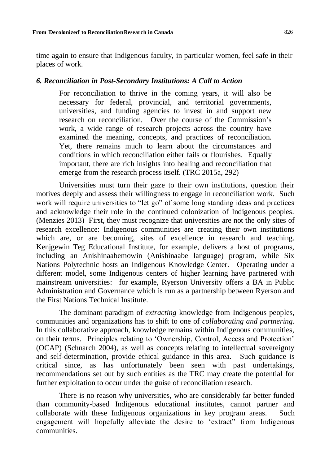time again to ensure that Indigenous faculty, in particular women, feel safe in their places of work.

#### *6. Reconciliation in Post-Secondary Institutions: A Call to Action*

For reconciliation to thrive in the coming years, it will also be necessary for federal, provincial, and territorial governments, universities, and funding agencies to invest in and support new research on reconciliation. Over the course of the Commission's work, a wide range of research projects across the country have examined the meaning, concepts, and practices of reconciliation. Yet, there remains much to learn about the circumstances and conditions in which reconciliation either fails or flourishes. Equally important, there are rich insights into healing and reconciliation that emerge from the research process itself. (TRC 2015a, 292)

Universities must turn their gaze to their own institutions, question their motives deeply and assess their willingness to engage in reconciliation work. Such work will require universities to "let go" of some long standing ideas and practices and acknowledge their role in the continued colonization of Indigenous peoples. (Menzies 2013) First, they must recognize that universities are not the only sites of research excellence: Indigenous communities are creating their own institutions which are, or are becoming, sites of excellence in research and teaching. Kenjgewin Teg Educational Institute, for example, delivers a host of programs, including an Anishinaabemowin (Anishinaabe language) program, while Six Nations Polytechnic hosts an Indigenous Knowledge Center. Operating under a different model, some Indigenous centers of higher learning have partnered with mainstream universities: for example, Ryerson University offers a BA in Public Administration and Governance which is run as a partnership between Ryerson and the First Nations Technical Institute.

The dominant paradigm of *extracting* knowledge from Indigenous peoples, communities and organizations has to shift to one of *collaborating and partnering*. In this collaborative approach, knowledge remains within Indigenous communities, on their terms. Principles relating to 'Ownership, Control, Access and Protection' (OCAP) (Schnarch 2004), as well as concepts relating to intellectual sovereignty and self-determination, provide ethical guidance in this area. Such guidance is critical since, as has unfortunately been seen with past undertakings, recommendations set out by such entities as the TRC may create the potential for further exploitation to occur under the guise of reconciliation research.

There is no reason why universities, who are considerably far better funded than community-based Indigenous educational institutes, cannot partner and collaborate with these Indigenous organizations in key program areas. Such engagement will hopefully alleviate the desire to 'extract" from Indigenous communities.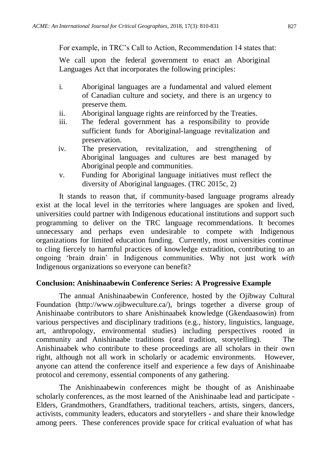For example, in TRC's Call to Action, Recommendation 14 states that:

We call upon the federal government to enact an Aboriginal Languages Act that incorporates the following principles:

- i. Aboriginal languages are a fundamental and valued element of Canadian culture and society, and there is an urgency to preserve them.
- ii. Aboriginal language rights are reinforced by the Treaties.
- iii. The federal government has a responsibility to provide sufficient funds for Aboriginal-language revitalization and preservation.
- iv. The preservation, revitalization, and strengthening of Aboriginal languages and cultures are best managed by Aboriginal people and communities.
- v. Funding for Aboriginal language initiatives must reflect the diversity of Aboriginal languages. (TRC 2015c, 2)

It stands to reason that, if community-based language programs already exist at the local level in the territories where languages are spoken and lived, universities could partner with Indigenous educational institutions and support such programming to deliver on the TRC language recommendations. It becomes unnecessary and perhaps even undesirable to compete with Indigenous organizations for limited education funding. Currently, most universities continue to cling fiercely to harmful practices of knowledge extradition, contributing to an ongoing 'brain drain' in Indigenous communities. Why not just work *with*  Indigenous organizations so everyone can benefit?

#### **Conclusion: Anishinaabewin Conference Series: A Progressive Example**

The annual Anishinaabewin Conference, hosted by the Ojibway Cultural Foundation [\(http://www.ojibweculture.ca/\), b](http://www.ojibweculture.ca/))rings together a diverse group of Anishinaabe contributors to share Anishinaabek knowledge (Gkendaasowin) from various perspectives and disciplinary traditions (e.g., history, linguistics, language, art, anthropology, environmental studies) including perspectives rooted in community and Anishinaabe traditions (oral tradition, storytelling). The Anishinaabek who contribute to these proceedings are all scholars in their own right, although not all work in scholarly or academic environments. However, anyone can attend the conference itself and experience a few days of Anishinaabe protocol and ceremony, essential components of any gathering.

The Anishinaabewin conferences might be thought of as Anishinaabe scholarly conferences, as the most learned of the Anishinaabe lead and participate - Elders, Grandmothers, Grandfathers, traditional teachers, artists, singers, dancers, activists, community leaders, educators and storytellers - and share their knowledge among peers. These conferences provide space for critical evaluation of what has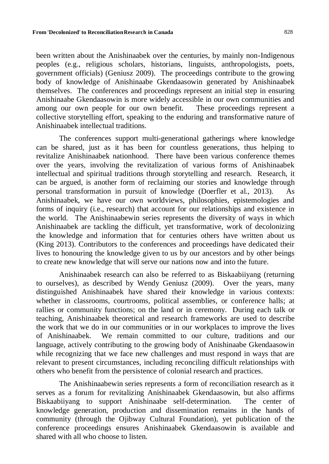**From 'Decolonized'to ReconciliationResearch in Canada** 828

been written about the Anishinaabek over the centuries, by mainly non-Indigenous peoples (e.g., religious scholars, historians, linguists, anthropologists, poets, government officials) (Geniusz 2009). The proceedings contribute to the growing body of knowledge of Anishinaabe Gkendaasowin generated by Anishinaabek themselves. The conferences and proceedings represent an initial step in ensuring Anishinaabe Gkendaasowin is more widely accessible in our own communities and among our own people for our own benefit. These proceedings represent a collective storytelling effort, speaking to the enduring and transformative nature of Anishinaabek intellectual traditions.

The conferences support multi-generational gatherings where knowledge can be shared, just as it has been for countless generations, thus helping to revitalize Anishinaabek nationhood. There have been various conference themes over the years, involving the revitalization of various forms of Anishinaabek intellectual and spiritual traditions through storytelling and research. Research, it can be argued, is another form of reclaiming our stories and knowledge through personal transformation in pursuit of knowledge (Doerfler et al., 2013). As Anishinaabek, we have our own worldviews, philosophies, epistemologies and forms of inquiry (i.e., research) that account for our relationships and existence in the world. The Anishinaabewin series represents the diversity of ways in which Anishinaabek are tackling the difficult, yet transformative, work of decolonizing the knowledge and information that for centuries others have written about us (King 2013). Contributors to the conferences and proceedings have dedicated their lives to honouring the knowledge given to us by our ancestors and by other beings to create new knowledge that will serve our nations now and into the future.

Anishinaabek research can also be referred to as Biskaabiiyang (returning to ourselves), as described by Wendy Geniusz (2009). Over the years, many distinguished Anishinaabek have shared their knowledge in various contexts: whether in classrooms, courtrooms, political assemblies, or conference halls; at rallies or community functions; on the land or in ceremony. During each talk or teaching, Anishinaabek theoretical and research frameworks are used to describe the work that we do in our communities or in our workplaces to improve the lives of Anishinaabek. We remain committed to our culture, traditions and our language, actively contributing to the growing body of Anishinaabe Gkendaasowin while recognizing that we face new challenges and must respond in ways that are relevant to present circumstances, including reconciling difficult relationships with others who benefit from the persistence of colonial research and practices.

The Anishinaabewin series represents a form of reconciliation research as it serves as a forum for revitalizing Anishinaabek Gkendaasowin, but also affirms Biskaabiiyang to support Anishinaabe self-determination. The center of knowledge generation, production and dissemination remains in the hands of community (through the Ojibway Cultural Foundation), yet publication of the conference proceedings ensures Anishinaabek Gkendaasowin is available and shared with all who choose to listen.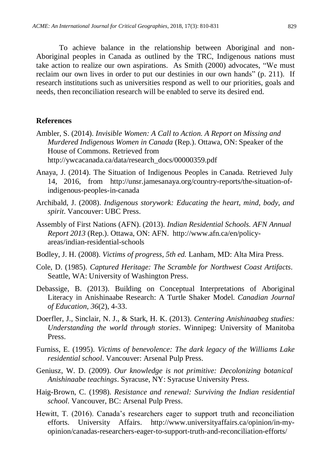To achieve balance in the relationship between Aboriginal and non-Aboriginal peoples in Canada as outlined by the TRC, Indigenous nations must take action to realize our own aspirations. As Smith (2000) advocates, "We must reclaim our own lives in order to put our destinies in our own hands" (p. 211). If research institutions such as universities respond as well to our priorities, goals and needs, then reconciliation research will be enabled to serve its desired end.

#### **References**

- Ambler, S. (2014). *Invisible Women: A Call to Action. A Report on Missing and Murdered Indigenous Women in Canada* (Rep.). Ottawa, ON: Speaker of the House of Commons. Retrieved fro[m](http://ywcacanada.ca/data/research_docs/00000359.pdf) [http://ywcacanada.ca/data/research\\_docs/00000359.pdf](http://ywcacanada.ca/data/research_docs/00000359.pdf)
- Anaya, J. (2014). The Situation of Indigenous Peoples in Canada. Retrieved July 14, 2016, from [http://unsr.jamesanaya.org/country-reports/the-situation-of](http://unsr.jamesanaya.org/country-reports/the-situation-of-)indigenous-peoples-in-canada
- Archibald, J. (2008). *Indigenous storywork: Educating the heart, mind, body, and spirit*. Vancouver: UBC Press.
- Assembly of First Nations (AFN). (2013). *Indian Residential Schools. AFN Annual Report 2013* [\(Rep.\). Ottawa, ON: AFN. http://www.afn.ca/en/policy](http://www.afn.ca/en/policy-)areas/indian-residential-schools
- Bodley, J. H. (2008). *Victims of progress, 5th ed.* Lanham, MD: Alta Mira Press.
- Cole, D. (1985). *Captured Heritage: The Scramble for Northwest Coast Artifacts*. Seattle, WA: University of Washington Press.
- Debassige, B. (2013). Building on Conceptual Interpretations of Aboriginal Literacy in Anishinaabe Research: A Turtle Shaker Model. *Canadian Journal of Education, 36*(2), 4-33.
- Doerfler, J., Sinclair, N. J., & Stark, H. K. (2013). *Centering Anishinaabeg studies: Understanding the world through stories*. Winnipeg: University of Manitoba Press.
- Furniss, E. (1995). *Victims of benevolence: The dark legacy of the Williams Lake residential school*. Vancouver: Arsenal Pulp Press.
- Geniusz, W. D. (2009). *Our knowledge is not primitive: Decolonizing botanical Anishinaabe teachings*. Syracuse, NY: Syracuse University Press.
- Haig-Brown, C. (1998). *Resistance and renewal: Surviving the Indian residential school*. Vancouver, BC: Arsenal Pulp Press.
- Hewitt, T. (2016). Canada's researchers eager to support truth and reconciliation efforts. University Affairs. [http://www.universityaffairs.ca/opinion/in-my](http://www.universityaffairs.ca/opinion/in-my-)opinion/canadas-researchers-eager-to-support-truth-and-reconciliation-efforts/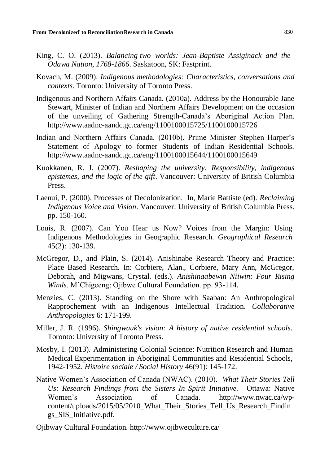- King, C. O. (2013). *Balancing two worlds: Jean-Baptiste Assiginack and the Odawa Nation, 1768-1866*. Saskatoon, SK: Fastprint.
- Kovach, M. (2009). *Indigenous methodologies: Characteristics, conversations and contexts*. Toronto: University of Toronto Press.
- Indigenous and Northern Affairs Canada. (2010a). Address by the Honourable Jane Stewart, Minister of Indian and Northern Affairs Development on the occasion of the unveiling of Gathering Strength-Canada's Aboriginal Action Plan[.](http://www.aadnc-aandc.gc.ca/eng/1100100015725/1100100015726) <http://www.aadnc-aandc.gc.ca/eng/1100100015725/1100100015726>
- Indian and Northern Affairs Canada. (2010b). Prime Minister Stephen Harper's Statement of Apology to former Students of Indian Residential Schools[.](http://www.aadnc-aandc.gc.ca/eng/1100100015644/1100100015649) <http://www.aadnc-aandc.gc.ca/eng/1100100015644/1100100015649>
- Kuokkanen, R. J. (2007). *Reshaping the university: Responsibility, indigenous epistemes, and the logic of the gift*. Vancouver: University of British Columbia Press.
- Laenui, P. (2000). Processes of Decolonization. In, Marie Battiste (ed). *Reclaiming Indigenous Voice and Vision*. Vancouver: University of British Columbia Press. pp. 150-160.
- Louis, R. (2007). Can You Hear us Now? Voices from the Margin: Using Indigenous Methodologies in Geographic Research. *Geographical Research* 45(2): 130-139.
- McGregor, D., and Plain, S. (2014). Anishinabe Research Theory and Practice: Place Based Research. In: Corbiere, Alan., Corbiere, Mary Ann, McGregor, Deborah, and Migwans, Crystal. (eds.). *Anishinaabewin Niiwin: Four Rising Winds*. M'Chigeeng: Ojibwe Cultural Foundation. pp. 93-114.
- Menzies, C. (2013). Standing on the Shore with Saaban: An Anthropological Rapprochement with an Indigenous Intellectual Tradition. *Collaborative Anthropologies* 6: 171-199.
- Miller, J. R. (1996). *Shingwauk's vision: A history of native residential schools*. Toronto: University of Toronto Press.
- Mosby, I. (2013). Administering Colonial Science: Nutrition Research and Human Medical Experimentation in Aboriginal Communities and Residential Schools, 1942-1952. *Histoire sociale / Social History* 46(91): 145-172.
- Native Women's Association of Canada (NWAC). (2010). *What Their Stories Tell Us: Research Findings from the Sisters In Spirit Initiative.* Ottawa: Native Women's Association of Canada. [http://www.nwac.ca/wp](http://www.nwac.ca/wp-)content/uploads/2015/05/2010\_What\_Their\_Stories\_Tell\_Us\_Research\_Findin gs\_SIS\_Initiative.pdf.

[Ojibway Cultural Foundation. http://www.ojibweculture.ca/](http://www.ojibweculture.ca/)